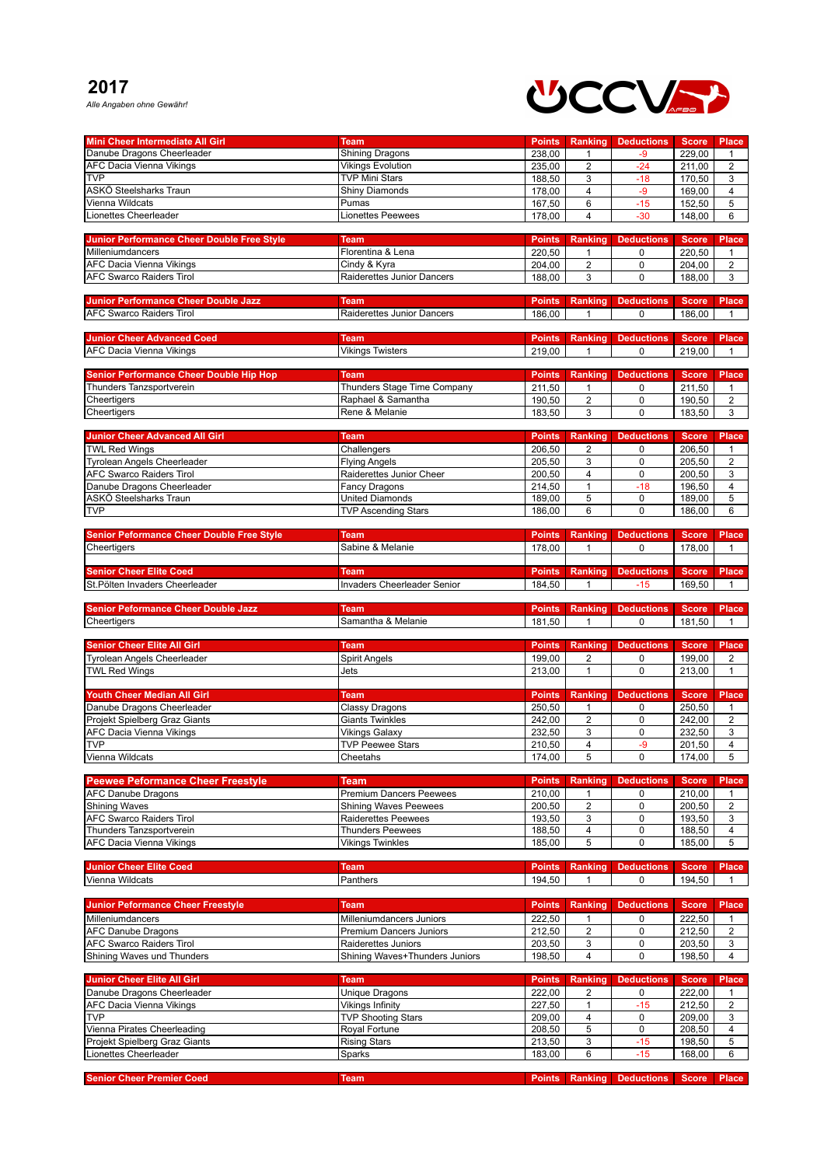## **2017**

*Alle Angaben ohne Gewähr!*



| <b>Mini Cheer Intermediate All Girl</b>                            | <b>Team</b>                                                | <b>Points</b>    | Ranking             | <b>Deductions</b>          | <b>Score</b>     | <b>Place</b>                     |
|--------------------------------------------------------------------|------------------------------------------------------------|------------------|---------------------|----------------------------|------------------|----------------------------------|
| Danube Dragons Cheerleader                                         | <b>Shining Dragons</b>                                     | 238,00           | $\mathbf{1}$        | $-9$                       | 229,00           | $\mathbf{1}$                     |
| <b>AFC Dacia Vienna Vikings</b>                                    | <b>Vikings Evolution</b>                                   | 235,00           | $\overline{2}$      | $-24$                      | 211,00           | $\overline{2}$                   |
| <b>TVP</b>                                                         | <b>TVP Mini Stars</b>                                      | 188,50           | 3                   | $-18$                      | 170,50           | 3                                |
| ASKÖ Steelsharks Traun                                             | <b>Shiny Diamonds</b>                                      | 178,00           | $\overline{4}$      | $-9$                       | 169,00           | $\overline{4}$                   |
| Vienna Wildcats                                                    | Pumas                                                      | 167,50           | 6                   | $-15$                      | 152,50           | 5                                |
| Lionettes Cheerleader                                              | <b>Lionettes Peewees</b>                                   | 178,00           | $\overline{4}$      | $-30$                      | 148,00           | 6                                |
|                                                                    |                                                            |                  |                     |                            |                  |                                  |
| <b>Junior Performance Cheer Double Free Style</b>                  | <b>Team</b>                                                | <b>Points</b>    | Ranking             | <b>Deductions</b>          | <b>Score</b>     | <b>Place</b>                     |
| Milleniumdancers                                                   | Florentina & Lena                                          | 220,50           | 1                   | 0                          | 220,50           | $\mathbf{1}$                     |
| <b>AFC Dacia Vienna Vikings</b><br><b>AFC Swarco Raiders Tirol</b> | Cindy & Kyra<br>Raiderettes Junior Dancers                 | 204,00           | $\overline{2}$      | $\pmb{0}$                  | 204,00           | $\overline{2}$                   |
|                                                                    |                                                            | 188,00           | 3                   | $\mathbf 0$                | 188,00           | 3                                |
| <b>Junior Performance Cheer Double Jazz</b>                        | <b>Team</b>                                                | <b>Points</b>    | Ranking             | <b>Deductions</b>          | <b>Score</b>     | Place                            |
| <b>AFC Swarco Raiders Tirol</b>                                    | Raiderettes Junior Dancers                                 | 186,00           | $\mathbf{1}$        | 0                          | 186,00           | $\mathbf{1}$                     |
|                                                                    |                                                            |                  |                     |                            |                  |                                  |
| <b>Junior Cheer Advanced Coed</b>                                  | <b>Team</b>                                                | <b>Points</b>    | Ranking             | <b>Deductions</b>          | <b>Score</b>     | <b>Place</b>                     |
| <b>AFC Dacia Vienna Vikings</b>                                    | <b>Vikings Twisters</b>                                    | 219,00           | 1                   | 0                          | 219,00           | 1                                |
|                                                                    |                                                            |                  |                     |                            |                  |                                  |
| <b>Senior Performance Cheer Double Hip Hop</b>                     | <b>Team</b>                                                | <b>Points</b>    | Ranking             | <b>Deductions</b>          | <b>Score</b>     | <b>Place</b>                     |
| Thunders Tanzsportverein                                           | Thunders Stage Time Company                                | 211,50           | $\mathbf{1}$        | 0                          | 211,50           | $\mathbf{1}$                     |
| Cheertigers                                                        | Raphael & Samantha                                         | 190,50           | $\overline{2}$      | $\mathbf 0$                | 190,50           | $\overline{2}$                   |
| Cheertigers                                                        | Rene & Melanie                                             | 183,50           | 3                   | $\mathbf 0$                | 183,50           | 3                                |
|                                                                    |                                                            |                  |                     |                            |                  |                                  |
| <b>Junior Cheer Advanced All Girl</b>                              | <b>Team</b>                                                | <b>Points</b>    | <b>Ranking</b>      | <b>Deductions</b>          | <b>Score</b>     | <b>Place</b>                     |
| <b>TWL Red Wings</b>                                               | Challengers                                                | 206,50           | $\overline{2}$      | 0                          | 206,50           | $\mathbf{1}$                     |
| <b>Tyrolean Angels Cheerleader</b>                                 | <b>Flying Angels</b>                                       | 205,50           | 3                   | $\mathbf 0$                | 205,50           | $\overline{2}$                   |
| <b>AFC Swarco Raiders Tirol</b>                                    | Raiderettes Junior Cheer                                   | 200,50           | $\overline{4}$      | $\pmb{0}$                  | 200,50           | 3                                |
| Danube Dragons Cheerleader                                         | Fancy Dragons                                              | 214,50           | $\mathbf{1}$        | $-18$                      | 196,50           | 4                                |
| ASKÖ Steelsharks Traun<br><b>TVP</b>                               | <b>United Diamonds</b>                                     | 189,00           | 5<br>6              | $\mathbf 0$<br>$\mathbf 0$ | 189,00           | 5<br>6                           |
|                                                                    | <b>TVP Ascending Stars</b>                                 | 186,00           |                     |                            | 186,00           |                                  |
| <b>Senior Peformance Cheer Double Free Style</b>                   | Team                                                       | <b>Points</b>    | Ranking             | <b>Deductions</b>          | <b>Score</b>     | <b>Place</b>                     |
| Cheertigers                                                        | Sabine & Melanie                                           | 178,00           | $\mathbf{1}$        | $\mathbf 0$                | 178,00           | $\mathbf{1}$                     |
|                                                                    |                                                            |                  |                     |                            |                  |                                  |
| <b>Senior Cheer Elite Coed</b>                                     | <b>Team</b>                                                | <b>Points</b>    | Ranking             | <b>Deductions</b>          | <b>Score</b>     | <b>Place</b>                     |
| St.Pölten Invaders Cheerleader                                     | <b>Invaders Cheerleader Senior</b>                         | 184,50           | $\mathbf{1}$        | $-15$                      | 169,50           | 1                                |
|                                                                    |                                                            |                  |                     |                            |                  |                                  |
| <b>Senior Peformance Cheer Double Jazz</b>                         | <b>Team</b>                                                | <b>Points</b>    | Ranking             | <b>Deductions</b>          | <b>Score</b>     | <b>Place</b>                     |
| Cheertigers                                                        | Samantha & Melanie                                         | 181,50           | 1                   | 0                          | 181,50           | 1                                |
|                                                                    |                                                            |                  |                     |                            |                  |                                  |
|                                                                    |                                                            |                  |                     |                            |                  |                                  |
| <b>Senior Cheer Elite All Girl</b>                                 | <b>Team</b>                                                | <b>Points</b>    | Ranking             | <b>Deductions</b>          | <b>Score</b>     | <b>Place</b>                     |
| Tyrolean Angels Cheerleader                                        | <b>Spirit Angels</b>                                       | 199,00           | $\overline{2}$      | 0                          | 199,00           | $\overline{2}$                   |
| <b>TWL Red Wings</b>                                               | Jets                                                       | 213,00           | 1                   | $\Omega$                   | 213,00           | $\mathbf{1}$                     |
|                                                                    |                                                            |                  |                     |                            |                  |                                  |
| Youth Cheer Median All Girl                                        | Team                                                       | <b>Points</b>    | <b>Ranking</b>      | <b>Deductions</b>          | <b>Score</b>     | <b>Place</b>                     |
| Danube Dragons Cheerleader                                         | <b>Classy Dragons</b>                                      | 250,50           | $\mathbf{1}$        | $\pmb{0}$                  | 250.50           | $\mathbf{1}$                     |
| Projekt Spielberg Graz Giants                                      | <b>Giants Twinkles</b>                                     | 242,00           | $\overline{2}$      | $\pmb{0}$                  | 242,00           | $\overline{\mathbf{c}}$          |
| <b>AFC Dacia Vienna Vikings</b><br><b>TVP</b>                      | <b>Vikings Galaxy</b><br><b>TVP Peewee Stars</b>           | 232,50<br>210.50 | 3<br>4              | $\pmb{0}$<br>$-9$          | 232,50<br>201.50 | 3                                |
|                                                                    |                                                            |                  | $\overline{5}$      |                            |                  | $\overline{4}$<br>$\overline{5}$ |
| Vienna Wildcats                                                    | Cheetahs                                                   | 174,00           |                     | $\overline{0}$             | 174,00           |                                  |
| <b>Peewee Peformance Cheer Freestyle</b>                           | <b>Team</b>                                                | <b>Points</b>    | <b>Ranking</b>      | <b>Deductions</b>          | <b>Score</b>     | <b>Place</b>                     |
| <b>AFC Danube Dragons</b>                                          | <b>Premium Dancers Peewees</b>                             | 210,00           | $\mathbf{1}$        | 0                          | 210,00           | $\mathbf{1}$                     |
| <b>Shining Waves</b>                                               | <b>Shining Waves Peewees</b>                               | 200,50           | $\overline{2}$      | $\mathbf 0$                | 200,50           | $\overline{2}$                   |
| <b>AFC Swarco Raiders Tirol</b>                                    | Raiderettes Peewees                                        | 193,50           | 3                   | 0                          | 193,50           | 3                                |
| Thunders Tanzsportverein                                           | <b>Thunders Peewees</b>                                    | 188,50           | $\overline{4}$      | $\pmb{0}$                  | 188,50           | 4                                |
| <b>AFC Dacia Vienna Vikings</b>                                    | <b>Vikings Twinkles</b>                                    | 185,00           | 5                   | $\pmb{0}$                  | 185,00           | 5                                |
|                                                                    |                                                            |                  |                     |                            |                  |                                  |
| <b>Junior Cheer Elite Coed</b>                                     | <b>Team</b>                                                | <b>Points</b>    | <b>Ranking</b>      | <b>Deductions</b>          | <b>Score</b>     | <b>Place</b>                     |
| Vienna Wildcats                                                    | Panthers                                                   | 194,50           | $\mathbf{1}$        | $\mathbf 0$                | 194.50           | $\mathbf{1}$                     |
| <b>Junior Peformance Cheer Freestyle</b>                           | <b>Team</b>                                                | <b>Points</b>    | <b>Ranking</b>      |                            | <b>Score</b>     | <b>Place</b>                     |
|                                                                    |                                                            |                  |                     | <b>Deductions</b>          |                  |                                  |
| Milleniumdancers<br><b>AFC Danube Dragons</b>                      | Milleniumdancers Juniors<br><b>Premium Dancers Juniors</b> | 222,50<br>212,50 | 1<br>$\overline{2}$ | 0<br>$\mathbf 0$           | 222,50<br>212,50 | $\mathbf{1}$<br>$\overline{2}$   |
| <b>AFC Swarco Raiders Tirol</b>                                    | Raiderettes Juniors                                        | 203,50           | 3                   | $\pmb{0}$                  | 203,50           | 3                                |
| Shining Waves und Thunders                                         | Shining Waves+Thunders Juniors                             | 198,50           | $\overline{4}$      | $\mathbf 0$                | 198,50           | $\overline{4}$                   |
|                                                                    |                                                            |                  |                     |                            |                  |                                  |
| <b>Junior Cheer Elite All Girl</b>                                 | <b>Team</b>                                                | <b>Points</b>    | <b>Ranking</b>      | <b>Deductions</b>          | <b>Score</b>     | <b>Place</b>                     |
| Danube Dragons Cheerleader                                         | Unique Dragons                                             | 222,00           | 2                   | 0                          | 222,00           | $\mathbf{1}$                     |
| AFC Dacia Vienna Vikings                                           | Vikings Infinity                                           | 227,50           | $\mathbf{1}$        | $-15$                      | 212,50           | $\overline{2}$                   |
| <b>TVP</b>                                                         | <b>TVP Shooting Stars</b>                                  | 209,00           | 4                   | 0                          | 209,00           | 3                                |
| Vienna Pirates Cheerleading                                        | Royal Fortune                                              | 208,50           | 5                   | 0                          | 208,50           | $\overline{4}$                   |
| Projekt Spielberg Graz Giants                                      | <b>Rising Stars</b>                                        | 213,50           | 3                   | $-15$                      | 198,50           | 5                                |
| Lionettes Cheerleader                                              | Sparks                                                     | 183,00           | 6                   | $-15$                      | 168,00           | 6                                |
| <b>Senior Cheer Premier Coed</b>                                   | <b>Team</b>                                                | <b>Points</b>    | Ranking             | <b>Deductions</b>          | <b>Score</b>     | <b>Place</b>                     |